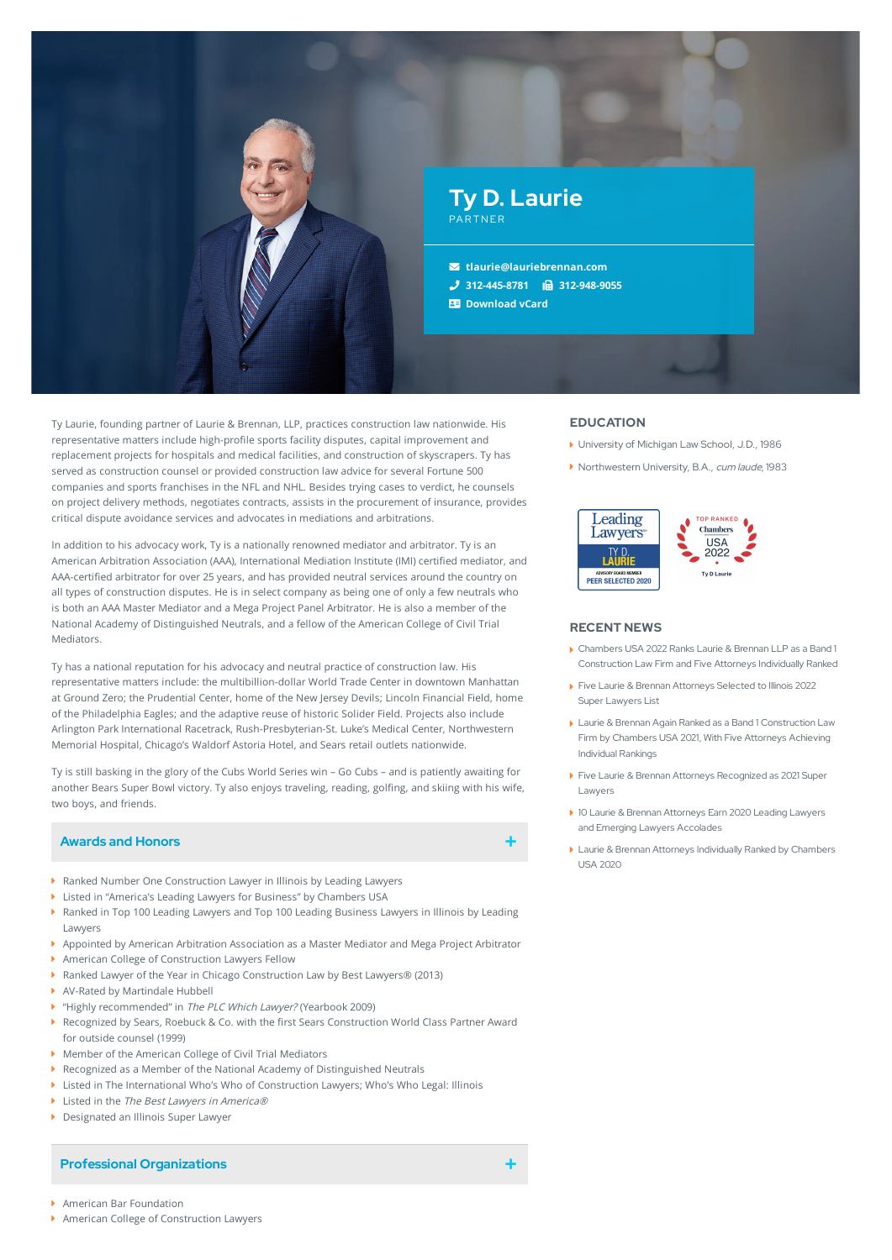

Ty Laurie, founding partner of Laurie & Brennan, LLP, practices construction law nationwide. His representative matters include high-profile sports facility disputes, capital improvement and replacement projects for hospitals and medical facilities, and construction of skyscrapers. Ty has served as construction counsel or provided construction law advice for several Fortune 500 companies and sports franchises in the NFL and NHL. Besides trying cases to verdict, he counsels on project delivery methods, negotiates contracts, assists in the procurement of insurance, provides critical dispute avoidance services and advocates in mediations and arbitrations.

In addition to his advocacy work, Ty is a nationally renowned mediator and arbitrator. Ty is an American Arbitration Association (AAA), International Mediation Institute (IMI) certied mediator, and AAA-certified arbitrator for over 25 years, and has provided neutral services around the country on all types of construction disputes. He is in select company as being one of only a few neutrals who is both an AAA Master Mediator and a Mega Project Panel Arbitrator. He is also a member of the National Academy of Distinguished Neutrals, and a fellow of the American College of Civil Trial Mediators.

Ty has a national reputation for his advocacy and neutral practice of construction law. His representative matters include: the multibillion-dollar World Trade Center in downtown Manhattan at Ground Zero; the Prudential Center, home of the New Jersey Devils; Lincoln Financial Field, home of the Philadelphia Eagles; and the adaptive reuse of historic Solider Field. Projects also include Arlington Park International Racetrack, Rush-Presbyterian-St. Luke's Medical Center, Northwestern Memorial Hospital, Chicago's Waldorf Astoria Hotel, and Sears retail outlets nationwide.

Ty is still basking in the glory of the Cubs World Series win – Go Cubs – and is patiently awaiting for another Bears Super Bowl victory. Ty also enjoys traveling, reading, golfing, and skiing with his wife, two boys, and friends.

# **Awards and Honors**

- 
- Ranked Number One Construction Lawyer in Illinois by Leading Lawyers
- Listed in "America's Leading Lawyers for Business" by Chambers USA
- Ranked in Top 100 Leading Lawyers and Top 100 Leading Business Lawyers in Illinois by Leading Lawyers
- Appointed by American Arbitration Association as a Master Mediator and Mega Project Arbitrator American College of Construction Lawyers Fellow
- ▶ Ranked Lawyer of the Year in Chicago Construction Law by Best Lawyers® (2013)
- AV-Rated by Martindale Hubbell
- ▶ "Highly recommended" in The PLC Which Lawyer? (Yearbook 2009)
- Recognized by Sears, Roebuck & Co. with the first Sears Construction World Class Partner Award for outside counsel (1999) ¥.
- Member of the American College of Civil Trial Mediators
- Recognized as a Member of the National Academy of Distinguished Neutrals
- Listed in The International Who's Who of Construction Lawyers; Who's Who Legal: Illinois
- $\blacktriangleright$  Listed in the The Best Lawyers in America®
- **Designated an Illinois Super Lawyer**

#### **Professional Organizations**

#### **American Bar Foundation**

▶ American College of Construction Lawyers

# **EDUCATION**

- ▶ University of Michigan Law School, J.D., 1986
- ▶ Northwestern University, B.A., cum laude, 1983



#### **RECENT NEWS**

- Chambers USA 2022 Ranks Laurie & Brennan LLP as a Band 1 [Construction](https://www.lauriebrennan.com/blog/chambers-usa-2022-ranks-laurie-brennan-llp-as-a-band-1-construction-law-firm-and-five-attorneys-individually-ranked/) Law Firm and Five Attorneys Individually Ranked
- Five Laurie & Brennan [Attorneys](https://www.lauriebrennan.com/blog/five-laurie-brennan-attorneys-selected-to-illinois-2022-super-lawyers-list/) Selected to Illinois 2022 Super Lawyers List
- Laurie & Brennan Again Ranked as a Band 1 [Construction](https://www.lauriebrennan.com/blog/laurie-brennan-again-ranked-as-a-band-1-construction-law-firm-by-chambers-usa-2021-with-five-attorneys-achieving-individual-rankings/) Law Firm by Chambers USA 2021, With Five Attorneys Achieving Individual Rankings
- Five Laurie & Brennan Attorneys [Recognized](https://www.lauriebrennan.com/blog/congratulations-laurie-brennan-2021-super-lawyers/) as 2021 Super Lawyers
- 10 Laurie & Brennan Attorneys Earn 2020 Leading Lawyers and Emerging Lawyers [Accolades](https://www.lauriebrennan.com/blog/ten-laurie-brennan-attorneys-earn-2020-leading-lawyers-and-emerging-lawyers-accolades/)
- Laurie & Brennan Attorneys [Individually](https://www.lauriebrennan.com/blog/laurie-brennan-attorneys-individually-ranked-by-chambers-usa-2020/) Ranked by Chambers USA 2020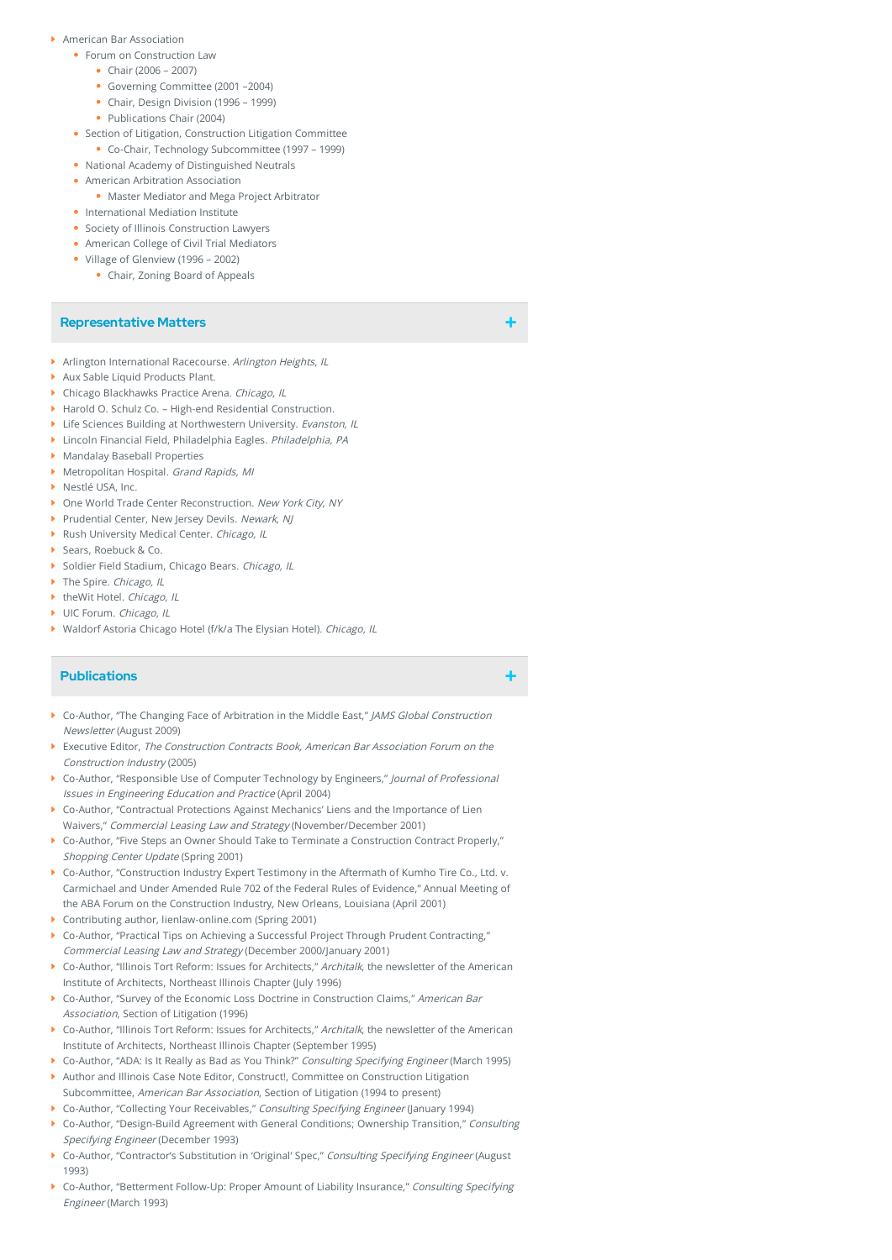- American Bar Association
	- Forum on Construction Law
		- Chair (2006 2007)
		- Governing Committee (2001 –2004)
		- Chair, Design Division (1996 1999)
		- Publications Chair (2004)
	- Section of Litigation, Construction Litigation Committee
	- Co-Chair, Technology Subcommittee (1997 1999)
	- National Academy of Distinguished Neutrals
	- American Arbitration Association
		- Master Mediator and Mega Project Arbitrator
	- International Mediation Institute
	- Society of Illinois Construction Lawyers
	- American College of Civil Trial Mediators
	- Village of Glenview (1996 2002)
		- Chair, Zoning Board of Appeals

## **Representative Matters**

- Arlington International Racecourse. Arlington Heights, IL
- Aux Sable Liquid Products Plant.
- **Chicago Blackhawks Practice Arena. Chicago, IL**
- Harold O. Schulz Co. High-end Residential Construction.
- **Life Sciences Building at Northwestern University. Evanston, IL**
- Lincoln Financial Field, Philadelphia Eagles. Philadelphia, PA
- Mandalay Baseball Properties
- Metropolitan Hospital. Grand Rapids, MI
- Nestlé USA, Inc.
- ▶ One World Trade Center Reconstruction. New York City, NY
- Prudential Center, New Jersey Devils. Newark, NJ
- Rush University Medical Center. Chicago, IL
- ▶ Sears, Roebuck & Co.
- Soldier Field Stadium, Chicago Bears. Chicago, IL
- The Spire. Chicago, IL
- ▶ theWit Hotel, Chicago, IL
- UIC Forum. Chicago, IL
- ▶ Waldorf Astoria Chicago Hotel (f/k/a The Elysian Hotel). Chicago, IL

## **Publications**

- Co-Author, "The Changing Face of Arbitration in the Middle East," JAMS Global Construction Newsletter (August 2009)
- Executive Editor, The Construction Contracts Book, American Bar Association Forum on the Construction Industry (2005)
- Co-Author, "Responsible Use of Computer Technology by Engineers," Journal of Professional Issues in Engineering Education and Practice (April 2004)
- Co-Author, "Contractual Protections Against Mechanics' Liens and the Importance of Lien Waivers," Commercial Leasing Law and Strategy (November/December 2001)
- ▶ Co-Author, "Five Steps an Owner Should Take to Terminate a Construction Contract Properly," Shopping Center Update (Spring 2001)
- Co-Author, "Construction Industry Expert Testimony in the Aftermath of Kumho Tire Co., Ltd. v. Carmichael and Under Amended Rule 702 of the Federal Rules of Evidence," Annual Meeting of the ABA Forum on the Construction Industry, New Orleans, Louisiana (April 2001)
- Contributing author, lienlaw-online.com (Spring 2001)
- ▶ Co-Author, "Practical Tips on Achieving a Successful Project Through Prudent Contracting," Commercial Leasing Law and Strategy (December 2000/January 2001)
- $\blacktriangleright$  Co-Author, "Illinois Tort Reform: Issues for Architects," Architalk, the newsletter of the American Institute of Architects, Northeast Illinois Chapter (July 1996)
- Co-Author, "Survey of the Economic Loss Doctrine in Construction Claims," American Bar Association, Section of Litigation (1996)
- Co-Author, "Illinois Tort Reform: Issues for Architects," Architalk, the newsletter of the American Institute of Architects, Northeast Illinois Chapter (September 1995)
- ▶ Co-Author, "ADA: Is It Really as Bad as You Think?" Consulting Specifying Engineer (March 1995)
- Author and Illinois Case Note Editor, Construct!, Committee on Construction Litigation Subcommittee, American Bar Association, Section of Litigation (1994 to present)
- Co-Author, "Collecting Your Receivables," Consulting Specifying Engineer (January 1994)
- ▶ Co-Author, "Design-Build Agreement with General Conditions; Ownership Transition," Consulting Specifying Engineer (December 1993)
- Co-Author, "Contractor's Substitution in 'Original' Spec," Consulting Specifying Engineer (August 1993)
- Go-Author, "Betterment Follow-Up: Proper Amount of Liability Insurance," Consulting Specifying Engineer (March 1993)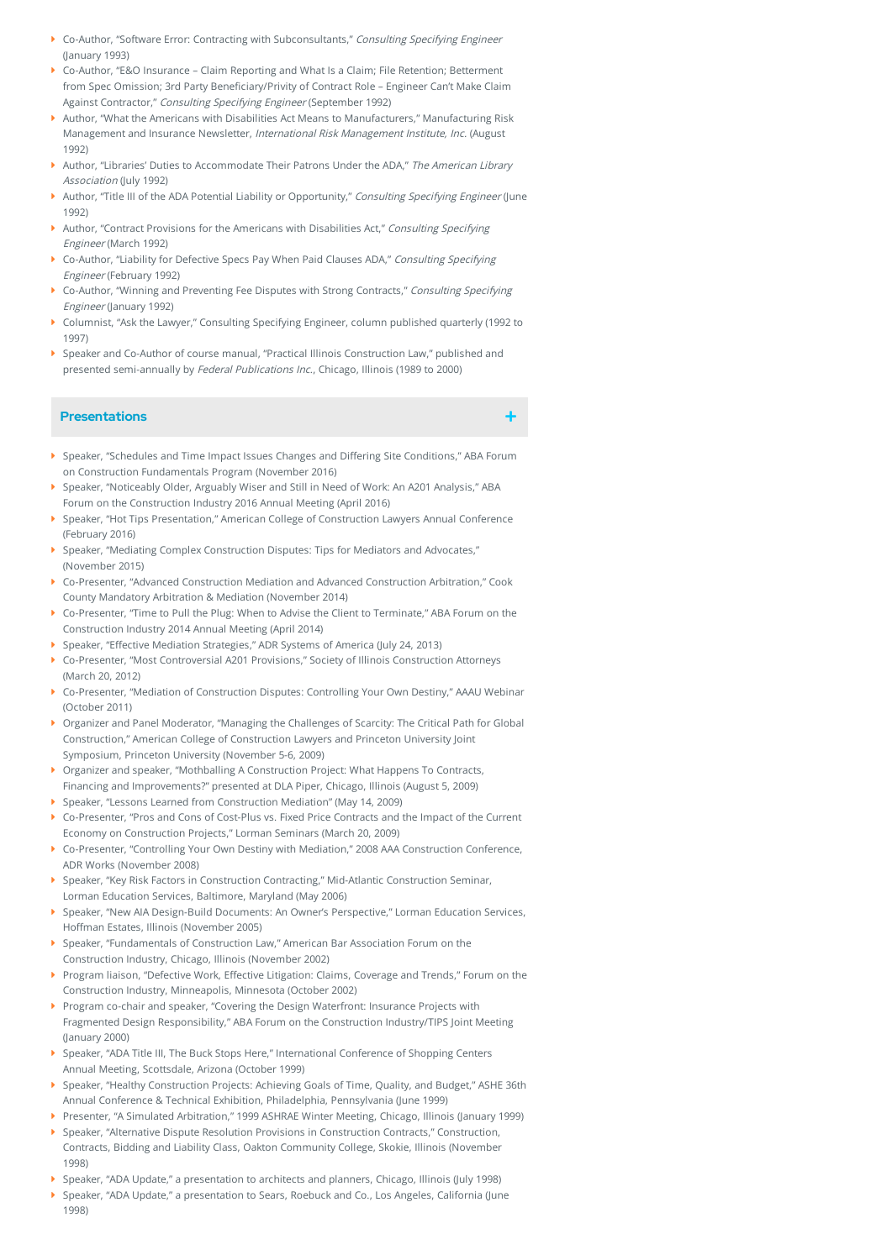- Co-Author, "Software Error: Contracting with Subconsultants," Consulting Specifying Engineer (January 1993)
- Co-Author, "E&O Insurance Claim Reporting and What Is a Claim; File Retention; Betterment from Spec Omission; 3rd Party Beneficiary/Privity of Contract Role - Engineer Can't Make Claim Against Contractor," Consulting Specifying Engineer (September 1992)
- Author, "What the Americans with Disabilities Act Means to Manufacturers," Manufacturing Risk Management and Insurance Newsletter, International Risk Management Institute, Inc. (August 1992)
- Author, "Libraries' Duties to Accommodate Their Patrons Under the ADA," The American Library Association (July 1992)
- Author, "Title III of the ADA Potential Liability or Opportunity," Consulting Specifying Engineer (June 1992)
- Author, "Contract Provisions for the Americans with Disabilities Act," Consulting Specifying Engineer (March 1992)
- Go-Author, "Liability for Defective Specs Pay When Paid Clauses ADA," Consulting Specifying Engineer (February 1992)
- Co-Author, "Winning and Preventing Fee Disputes with Strong Contracts," Consulting Specifying Engineer (January 1992)
- Columnist, "Ask the Lawyer," Consulting Specifying Engineer, column published quarterly (1992 to 1997)
- Speaker and Co-Author of course manual, "Practical Illinois Construction Law," published and presented semi-annually by Federal Publications Inc., Chicago, Illinois (1989 to 2000)

## **Presentations**

- $\blacktriangleright$  Speaker, "Schedules and Time Impact Issues Changes and Differing Site Conditions," ABA Forum on Construction Fundamentals Program (November 2016)
- Speaker, "Noticeably Older, Arguably Wiser and Still in Need of Work: An A201 Analysis," ABA Forum on the Construction Industry 2016 Annual Meeting (April 2016)
- Speaker, "Hot Tips Presentation," American College of Construction Lawyers Annual Conference (February 2016)
- Speaker, "Mediating Complex Construction Disputes: Tips for Mediators and Advocates," (November 2015)
- Co-Presenter, "Advanced Construction Mediation and Advanced Construction Arbitration," Cook County Mandatory Arbitration & Mediation (November 2014)
- Co-Presenter, "Time to Pull the Plug: When to Advise the Client to Terminate," ABA Forum on the Construction Industry 2014 Annual Meeting (April 2014)
- Speaker, "Effective Mediation Strategies," ADR Systems of America (July 24, 2013)
- Co-Presenter, "Most Controversial A201 Provisions," Society of Illinois Construction Attorneys (March 20, 2012)
- Co-Presenter, "Mediation of Construction Disputes: Controlling Your Own Destiny," AAAU Webinar (October 2011)
- Organizer and Panel Moderator, "Managing the Challenges of Scarcity: The Critical Path for Global Construction," American College of Construction Lawyers and Princeton University Joint Symposium, Princeton University (November 5-6, 2009)
- ▶ Organizer and speaker, "Mothballing A Construction Project: What Happens To Contracts, Financing and Improvements?" presented at DLA Piper, Chicago, Illinois (August 5, 2009)
- Speaker, "Lessons Learned from Construction Mediation" (May 14, 2009)
- Co-Presenter, "Pros and Cons of Cost-Plus vs. Fixed Price Contracts and the Impact of the Current Economy on Construction Projects," Lorman Seminars (March 20, 2009)
- Co-Presenter, "Controlling Your Own Destiny with Mediation," 2008 AAA Construction Conference, ADR Works (November 2008)
- Speaker, "Key Risk Factors in Construction Contracting," Mid-Atlantic Construction Seminar, Lorman Education Services, Baltimore, Maryland (May 2006)
- Speaker, "New AIA Design-Build Documents: An Owner's Perspective," Lorman Education Services, Hoffman Estates, Illinois (November 2005)
- $\blacktriangleright$  Speaker, "Fundamentals of Construction Law," American Bar Association Forum on the Construction Industry, Chicago, Illinois (November 2002)
- Program liaison, "Defective Work, Effective Litigation: Claims, Coverage and Trends," Forum on the Construction Industry, Minneapolis, Minnesota (October 2002)
- ▶ Program co-chair and speaker, "Covering the Design Waterfront: Insurance Projects with Fragmented Design Responsibility," ABA Forum on the Construction Industry/TIPS Joint Meeting (January 2000)
- Speaker, "ADA Title III, The Buck Stops Here," International Conference of Shopping Centers Annual Meeting, Scottsdale, Arizona (October 1999)
- Speaker, "Healthy Construction Projects: Achieving Goals of Time, Quality, and Budget," ASHE 36th Annual Conference & Technical Exhibition, Philadelphia, Pennsylvania (June 1999)
- Presenter, "A Simulated Arbitration," 1999 ASHRAE Winter Meeting, Chicago, Illinois (January 1999)
- Speaker, "Alternative Dispute Resolution Provisions in Construction Contracts," Construction, Contracts, Bidding and Liability Class, Oakton Community College, Skokie, Illinois (November 1998)
- Speaker, "ADA Update," a presentation to architects and planners, Chicago, Illinois (July 1998)
- Speaker, "ADA Update," a presentation to Sears, Roebuck and Co., Los Angeles, California (June 1998)